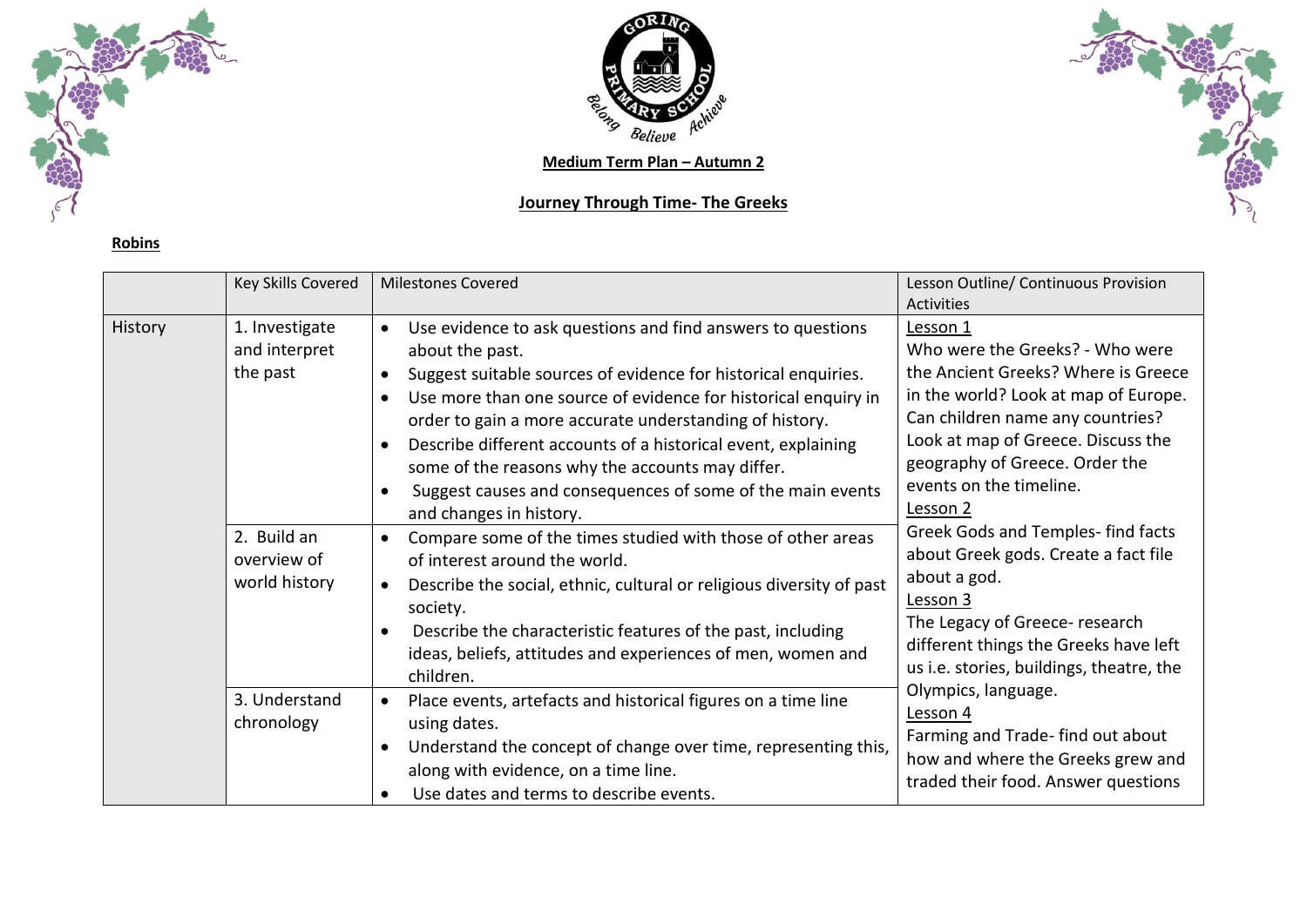

**Robins**



## **Journey Through Time- The Greeks**



|         | Key Skills Covered                          | <b>Milestones Covered</b>                                                                                                                                                                                                                                                                                                                                                                                                                                                                                | Lesson Outline/ Continuous Provision<br><b>Activities</b>                                                                                                                                                                                                                                                                                                                                                                                                                                                                                                                                                                                                         |
|---------|---------------------------------------------|----------------------------------------------------------------------------------------------------------------------------------------------------------------------------------------------------------------------------------------------------------------------------------------------------------------------------------------------------------------------------------------------------------------------------------------------------------------------------------------------------------|-------------------------------------------------------------------------------------------------------------------------------------------------------------------------------------------------------------------------------------------------------------------------------------------------------------------------------------------------------------------------------------------------------------------------------------------------------------------------------------------------------------------------------------------------------------------------------------------------------------------------------------------------------------------|
| History | 1. Investigate<br>and interpret<br>the past | Use evidence to ask questions and find answers to questions<br>$\bullet$<br>about the past.<br>Suggest suitable sources of evidence for historical enquiries.<br>Use more than one source of evidence for historical enquiry in<br>order to gain a more accurate understanding of history.<br>Describe different accounts of a historical event, explaining<br>some of the reasons why the accounts may differ.<br>Suggest causes and consequences of some of the main events<br>and changes in history. | Lesson 1<br>Who were the Greeks? - Who were<br>the Ancient Greeks? Where is Greece<br>in the world? Look at map of Europe.<br>Can children name any countries?<br>Look at map of Greece. Discuss the<br>geography of Greece. Order the<br>events on the timeline.<br>Lesson 2<br>Greek Gods and Temples- find facts<br>about Greek gods. Create a fact file<br>about a god.<br>Lesson 3<br>The Legacy of Greece- research<br>different things the Greeks have left<br>us i.e. stories, buildings, theatre, the<br>Olympics, language.<br>Lesson 4<br>Farming and Trade-find out about<br>how and where the Greeks grew and<br>traded their food. Answer questions |
|         | 2. Build an<br>overview of<br>world history | Compare some of the times studied with those of other areas<br>$\bullet$<br>of interest around the world.<br>Describe the social, ethnic, cultural or religious diversity of past<br>society.<br>Describe the characteristic features of the past, including<br>ideas, beliefs, attitudes and experiences of men, women and<br>children.                                                                                                                                                                 |                                                                                                                                                                                                                                                                                                                                                                                                                                                                                                                                                                                                                                                                   |
|         | 3. Understand<br>chronology                 | Place events, artefacts and historical figures on a time line<br>$\bullet$<br>using dates.<br>Understand the concept of change over time, representing this,<br>along with evidence, on a time line.<br>Use dates and terms to describe events.                                                                                                                                                                                                                                                          |                                                                                                                                                                                                                                                                                                                                                                                                                                                                                                                                                                                                                                                                   |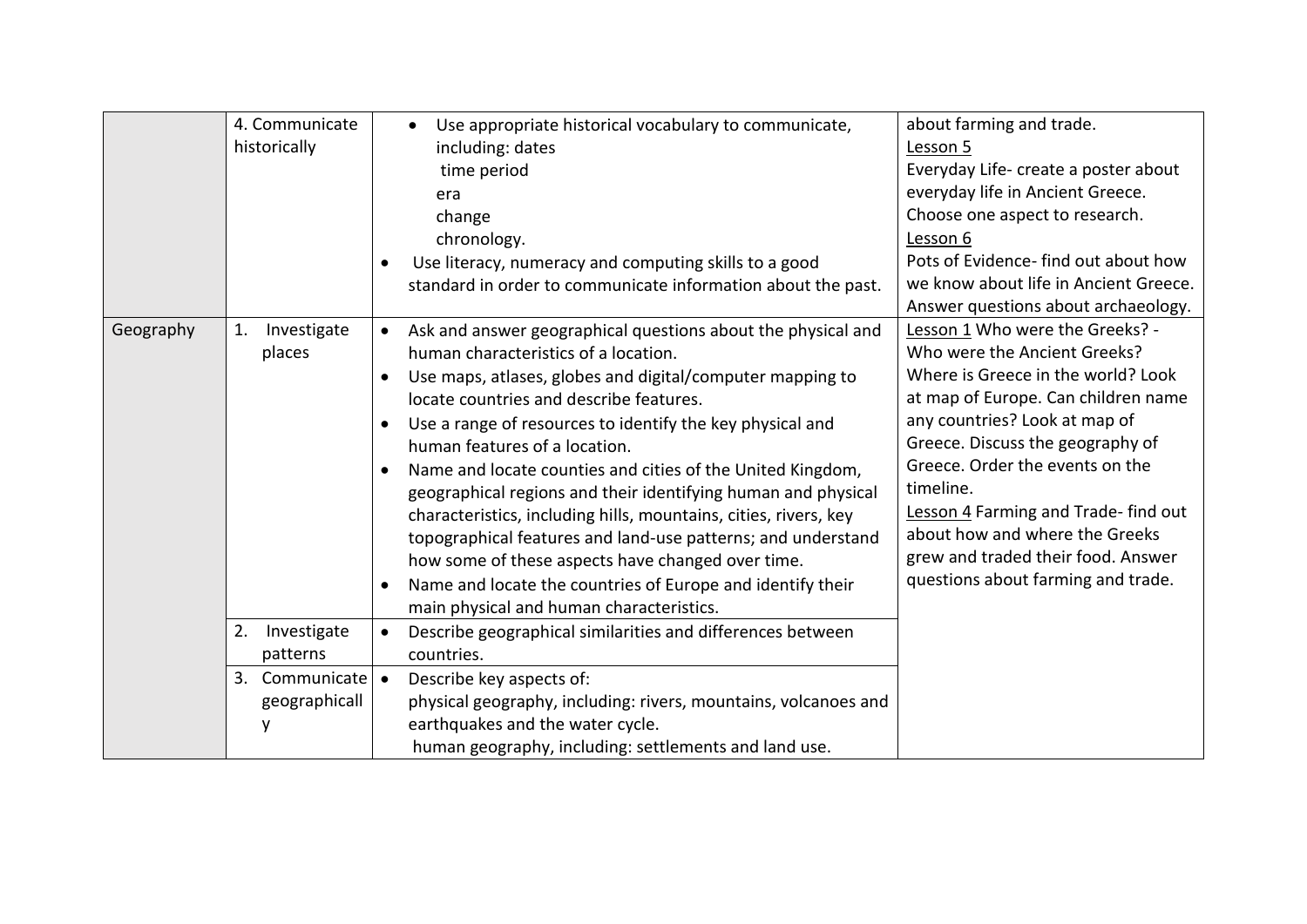|           | 4. Communicate<br>historically                                      | Use appropriate historical vocabulary to communicate,<br>including: dates<br>time period<br>era<br>change<br>chronology.<br>Use literacy, numeracy and computing skills to a good<br>standard in order to communicate information about the past.                                                                                                                                                                                                                                                                                                                                                                                                                                                                                                         | about farming and trade.<br>Lesson 5<br>Everyday Life- create a poster about<br>everyday life in Ancient Greece.<br>Choose one aspect to research.<br>Lesson 6<br>Pots of Evidence- find out about how<br>we know about life in Ancient Greece.<br>Answer questions about archaeology.                                                                                                                                 |
|-----------|---------------------------------------------------------------------|-----------------------------------------------------------------------------------------------------------------------------------------------------------------------------------------------------------------------------------------------------------------------------------------------------------------------------------------------------------------------------------------------------------------------------------------------------------------------------------------------------------------------------------------------------------------------------------------------------------------------------------------------------------------------------------------------------------------------------------------------------------|------------------------------------------------------------------------------------------------------------------------------------------------------------------------------------------------------------------------------------------------------------------------------------------------------------------------------------------------------------------------------------------------------------------------|
| Geography | Investigate<br>1.<br>places                                         | Ask and answer geographical questions about the physical and<br>$\bullet$<br>human characteristics of a location.<br>Use maps, atlases, globes and digital/computer mapping to<br>locate countries and describe features.<br>Use a range of resources to identify the key physical and<br>human features of a location.<br>Name and locate counties and cities of the United Kingdom,<br>geographical regions and their identifying human and physical<br>characteristics, including hills, mountains, cities, rivers, key<br>topographical features and land-use patterns; and understand<br>how some of these aspects have changed over time.<br>Name and locate the countries of Europe and identify their<br>main physical and human characteristics. | Lesson 1 Who were the Greeks? -<br>Who were the Ancient Greeks?<br>Where is Greece in the world? Look<br>at map of Europe. Can children name<br>any countries? Look at map of<br>Greece. Discuss the geography of<br>Greece. Order the events on the<br>timeline.<br>Lesson 4 Farming and Trade-find out<br>about how and where the Greeks<br>grew and traded their food. Answer<br>questions about farming and trade. |
|           | 2.<br>Investigate<br>patterns<br>Communicate<br>3.<br>geographicall | Describe geographical similarities and differences between<br>countries.<br>$\bullet$<br>Describe key aspects of:<br>physical geography, including: rivers, mountains, volcanoes and<br>earthquakes and the water cycle.<br>human geography, including: settlements and land use.                                                                                                                                                                                                                                                                                                                                                                                                                                                                         |                                                                                                                                                                                                                                                                                                                                                                                                                        |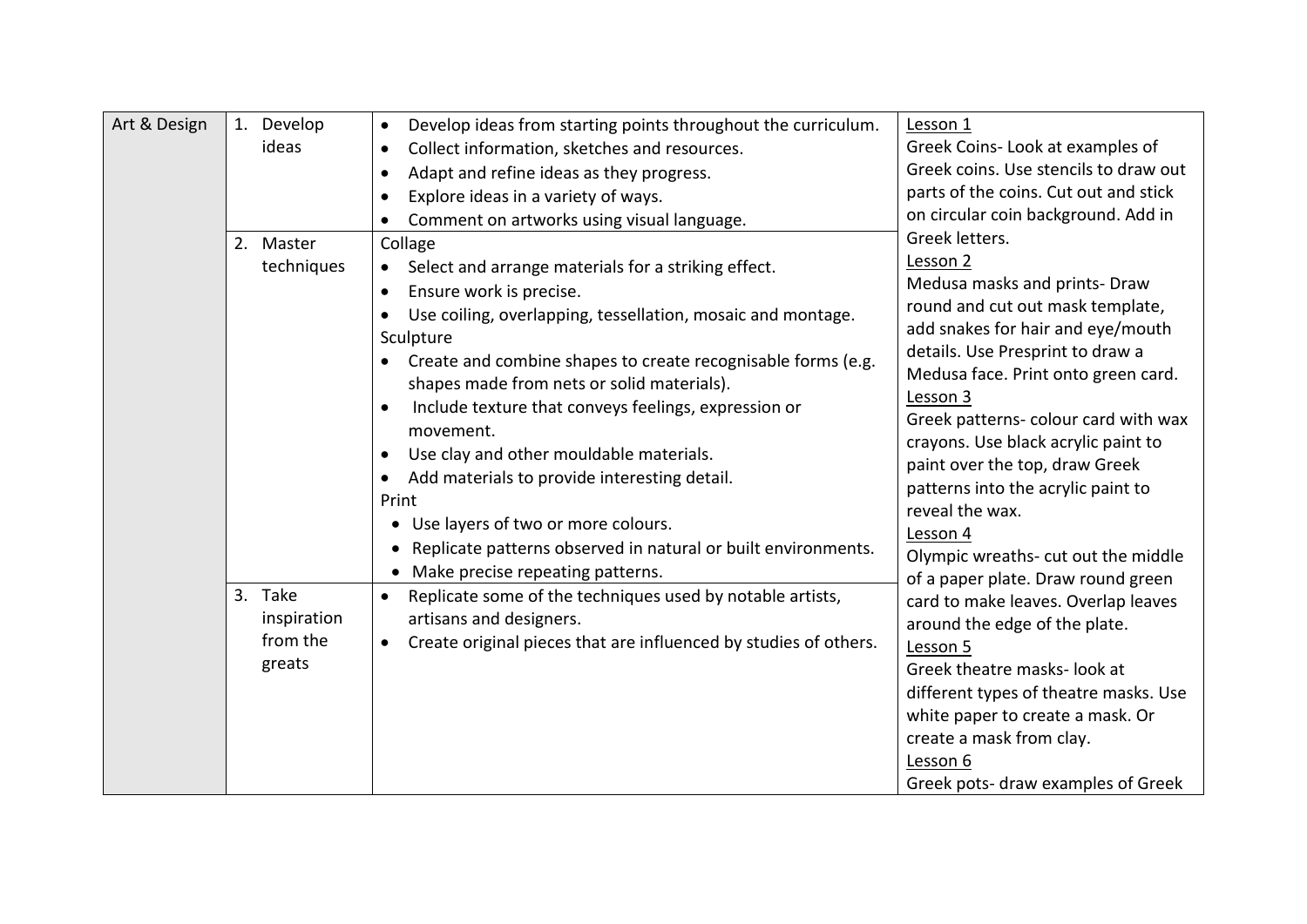| Art & Design | Develop<br>1.<br>ideas<br>2. Master<br>techniques | Develop ideas from starting points throughout the curriculum.<br>$\bullet$<br>Collect information, sketches and resources.<br>Adapt and refine ideas as they progress.<br>Explore ideas in a variety of ways.<br>Comment on artworks using visual language.<br>Collage<br>Select and arrange materials for a striking effect.<br>Ensure work is precise.<br>Use coiling, overlapping, tessellation, mosaic and montage.<br>Sculpture<br>Create and combine shapes to create recognisable forms (e.g.<br>shapes made from nets or solid materials).<br>Include texture that conveys feelings, expression or<br>movement.<br>Use clay and other mouldable materials.<br>٠<br>Add materials to provide interesting detail.<br>Print<br>Use layers of two or more colours.<br>Replicate patterns observed in natural or built environments.<br>Make precise repeating patterns. | Lesson 1<br>Greek Coins-Look at examples of<br>Greek coins. Use stencils to draw out<br>parts of the coins. Cut out and stick<br>on circular coin background. Add in<br>Greek letters.<br>Lesson 2<br>Medusa masks and prints- Draw<br>round and cut out mask template,<br>add snakes for hair and eye/mouth<br>details. Use Presprint to draw a<br>Medusa face. Print onto green card.<br>Lesson 3<br>Greek patterns- colour card with wax<br>crayons. Use black acrylic paint to<br>paint over the top, draw Greek<br>patterns into the acrylic paint to<br>reveal the wax.<br>Lesson 4<br>Olympic wreaths- cut out the middle |
|--------------|---------------------------------------------------|-----------------------------------------------------------------------------------------------------------------------------------------------------------------------------------------------------------------------------------------------------------------------------------------------------------------------------------------------------------------------------------------------------------------------------------------------------------------------------------------------------------------------------------------------------------------------------------------------------------------------------------------------------------------------------------------------------------------------------------------------------------------------------------------------------------------------------------------------------------------------------|----------------------------------------------------------------------------------------------------------------------------------------------------------------------------------------------------------------------------------------------------------------------------------------------------------------------------------------------------------------------------------------------------------------------------------------------------------------------------------------------------------------------------------------------------------------------------------------------------------------------------------|
|              | 3. Take<br>inspiration<br>from the<br>greats      | Replicate some of the techniques used by notable artists,<br>artisans and designers.<br>Create original pieces that are influenced by studies of others.                                                                                                                                                                                                                                                                                                                                                                                                                                                                                                                                                                                                                                                                                                                    | of a paper plate. Draw round green<br>card to make leaves. Overlap leaves<br>around the edge of the plate.<br>Lesson 5<br>Greek theatre masks- look at<br>different types of theatre masks. Use<br>white paper to create a mask. Or<br>create a mask from clay.<br>Lesson 6<br>Greek pots- draw examples of Greek                                                                                                                                                                                                                                                                                                                |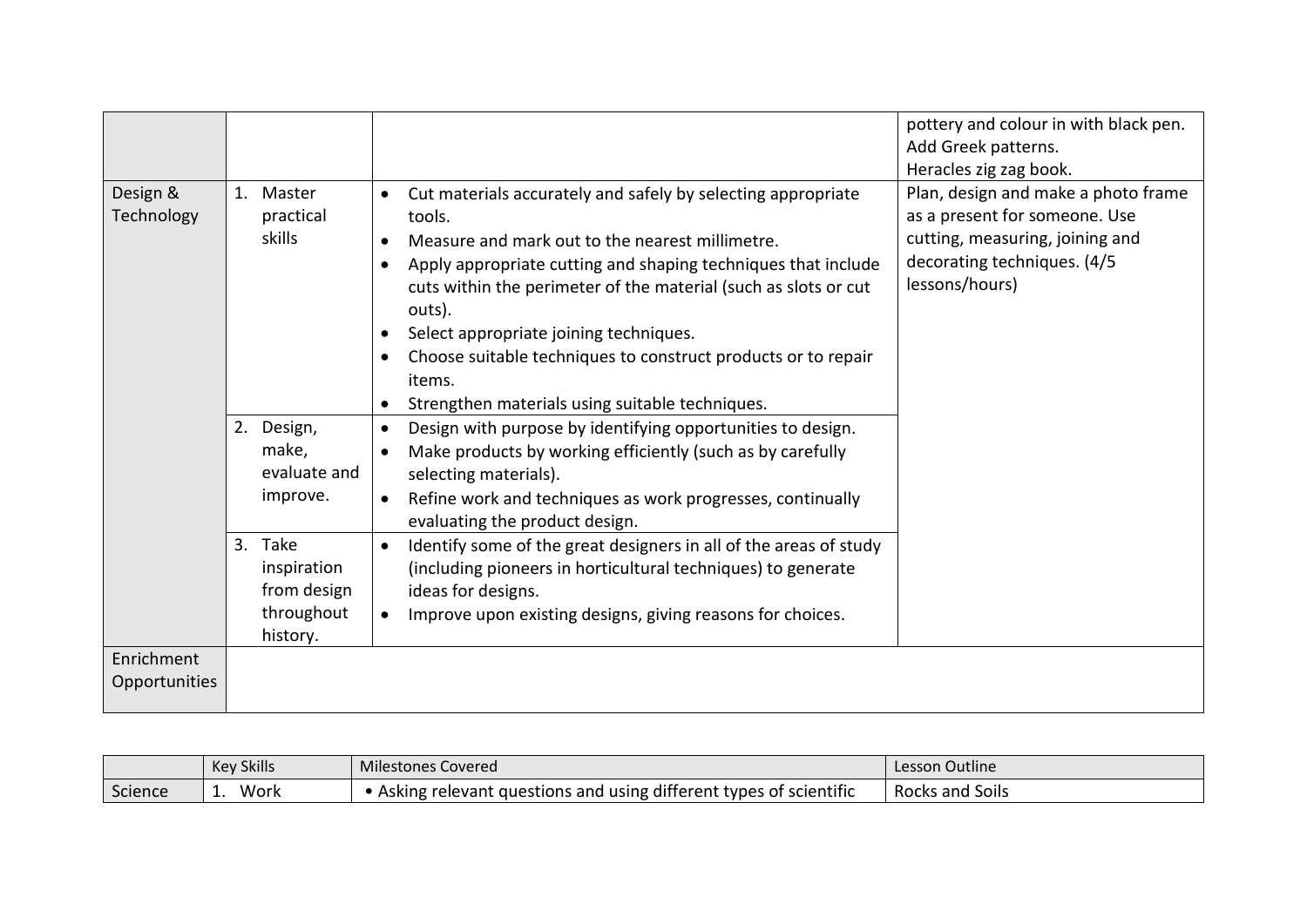|                                                                 |                                                                                                                                                                                                                                                                                                                                                                                                                                                                           | pottery and colour in with black pen.<br>Add Greek patterns.<br>Heracles zig zag book.                                                                   |
|-----------------------------------------------------------------|---------------------------------------------------------------------------------------------------------------------------------------------------------------------------------------------------------------------------------------------------------------------------------------------------------------------------------------------------------------------------------------------------------------------------------------------------------------------------|----------------------------------------------------------------------------------------------------------------------------------------------------------|
| Design &<br>1.<br>Master<br>Technology<br>practical<br>skills   | Cut materials accurately and safely by selecting appropriate<br>$\bullet$<br>tools.<br>Measure and mark out to the nearest millimetre.<br>Apply appropriate cutting and shaping techniques that include<br>cuts within the perimeter of the material (such as slots or cut<br>outs).<br>Select appropriate joining techniques.<br>Choose suitable techniques to construct products or to repair<br>items.<br>Strengthen materials using suitable techniques.<br>$\bullet$ | Plan, design and make a photo frame<br>as a present for someone. Use<br>cutting, measuring, joining and<br>decorating techniques. (4/5<br>lessons/hours) |
| 2. Design,<br>make,<br>evaluate and<br>improve.                 | Design with purpose by identifying opportunities to design.<br>$\bullet$<br>Make products by working efficiently (such as by carefully<br>selecting materials).<br>Refine work and techniques as work progresses, continually<br>$\bullet$<br>evaluating the product design.                                                                                                                                                                                              |                                                                                                                                                          |
| 3. Take<br>inspiration<br>from design<br>throughout<br>history. | Identify some of the great designers in all of the areas of study<br>$\bullet$<br>(including pioneers in horticultural techniques) to generate<br>ideas for designs.<br>Improve upon existing designs, giving reasons for choices.                                                                                                                                                                                                                                        |                                                                                                                                                          |
| Enrichment<br>Opportunities                                     |                                                                                                                                                                                                                                                                                                                                                                                                                                                                           |                                                                                                                                                          |

|         | <b>Key Skills</b> | <b>Milestones Covered</b>                                           | Lesson Outline  |
|---------|-------------------|---------------------------------------------------------------------|-----------------|
| Science | Work              | . Asking relevant questions and using different types of scientific | Rocks and Soils |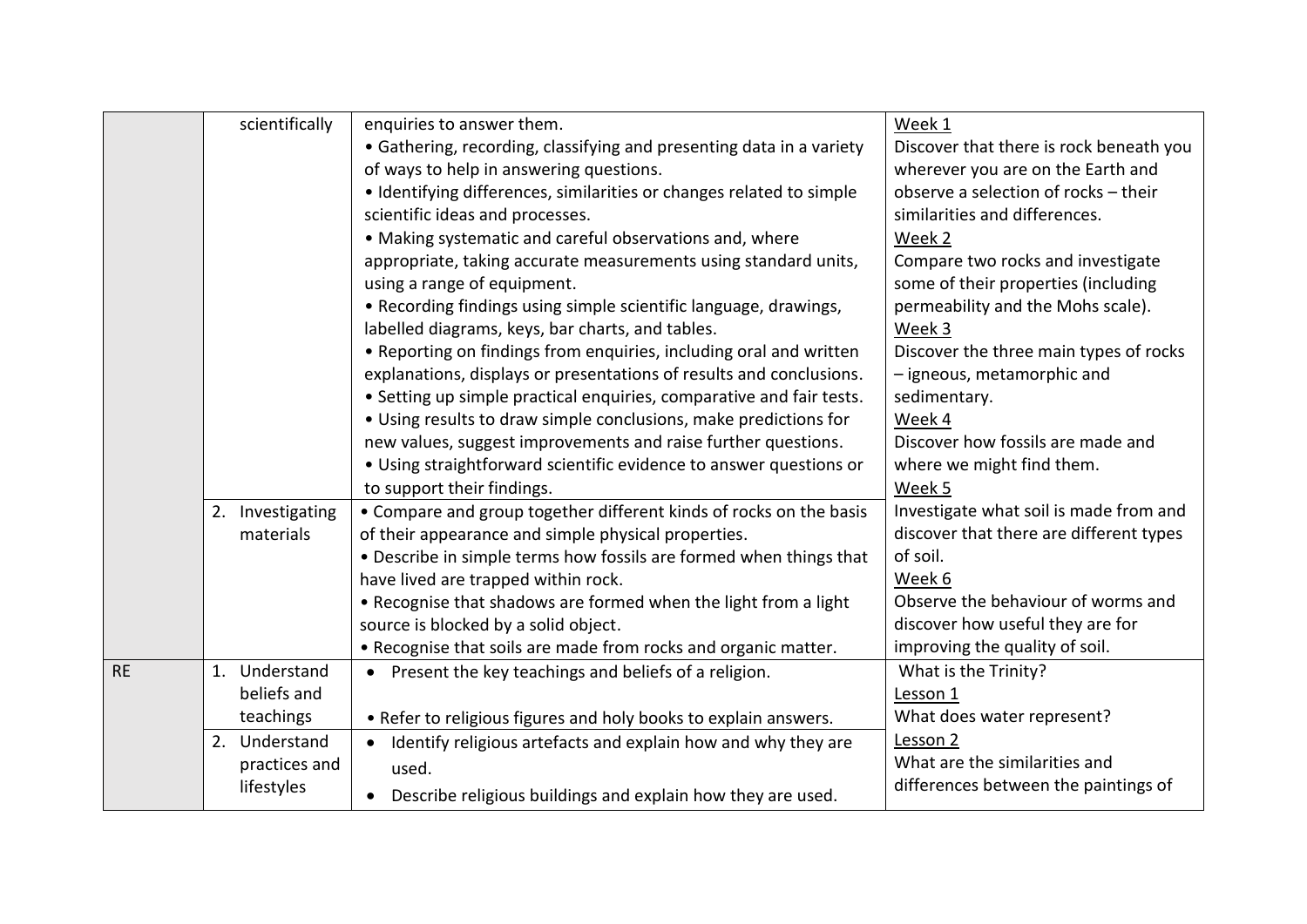|           | scientifically   | enquiries to answer them.                                            | Week 1                                  |
|-----------|------------------|----------------------------------------------------------------------|-----------------------------------------|
|           |                  | • Gathering, recording, classifying and presenting data in a variety | Discover that there is rock beneath you |
|           |                  | of ways to help in answering questions.                              | wherever you are on the Earth and       |
|           |                  | • Identifying differences, similarities or changes related to simple | observe a selection of rocks - their    |
|           |                  | scientific ideas and processes.                                      | similarities and differences.           |
|           |                  | • Making systematic and careful observations and, where              | Week 2                                  |
|           |                  | appropriate, taking accurate measurements using standard units,      | Compare two rocks and investigate       |
|           |                  | using a range of equipment.                                          | some of their properties (including     |
|           |                  | • Recording findings using simple scientific language, drawings,     | permeability and the Mohs scale).       |
|           |                  | labelled diagrams, keys, bar charts, and tables.                     | Week 3                                  |
|           |                  | • Reporting on findings from enquiries, including oral and written   | Discover the three main types of rocks  |
|           |                  | explanations, displays or presentations of results and conclusions.  | - igneous, metamorphic and              |
|           |                  | • Setting up simple practical enquiries, comparative and fair tests. | sedimentary.                            |
|           |                  | • Using results to draw simple conclusions, make predictions for     | Week 4                                  |
|           |                  | new values, suggest improvements and raise further questions.        | Discover how fossils are made and       |
|           |                  | • Using straightforward scientific evidence to answer questions or   | where we might find them.               |
|           |                  | to support their findings.                                           | Week 5                                  |
|           | 2. Investigating | • Compare and group together different kinds of rocks on the basis   | Investigate what soil is made from and  |
|           | materials        | of their appearance and simple physical properties.                  | discover that there are different types |
|           |                  | • Describe in simple terms how fossils are formed when things that   | of soil.                                |
|           |                  | have lived are trapped within rock.                                  | Week 6                                  |
|           |                  | • Recognise that shadows are formed when the light from a light      | Observe the behaviour of worms and      |
|           |                  | source is blocked by a solid object.                                 | discover how useful they are for        |
|           |                  | . Recognise that soils are made from rocks and organic matter.       | improving the quality of soil.          |
| <b>RE</b> | 1. Understand    | • Present the key teachings and beliefs of a religion.               | What is the Trinity?                    |
|           | beliefs and      |                                                                      | Lesson 1                                |
|           | teachings        | • Refer to religious figures and holy books to explain answers.      | What does water represent?              |
|           | 2. Understand    | • Identify religious artefacts and explain how and why they are      | Lesson 2                                |
|           | practices and    | used.                                                                | What are the similarities and           |
|           | lifestyles       | Describe religious buildings and explain how they are used.          | differences between the paintings of    |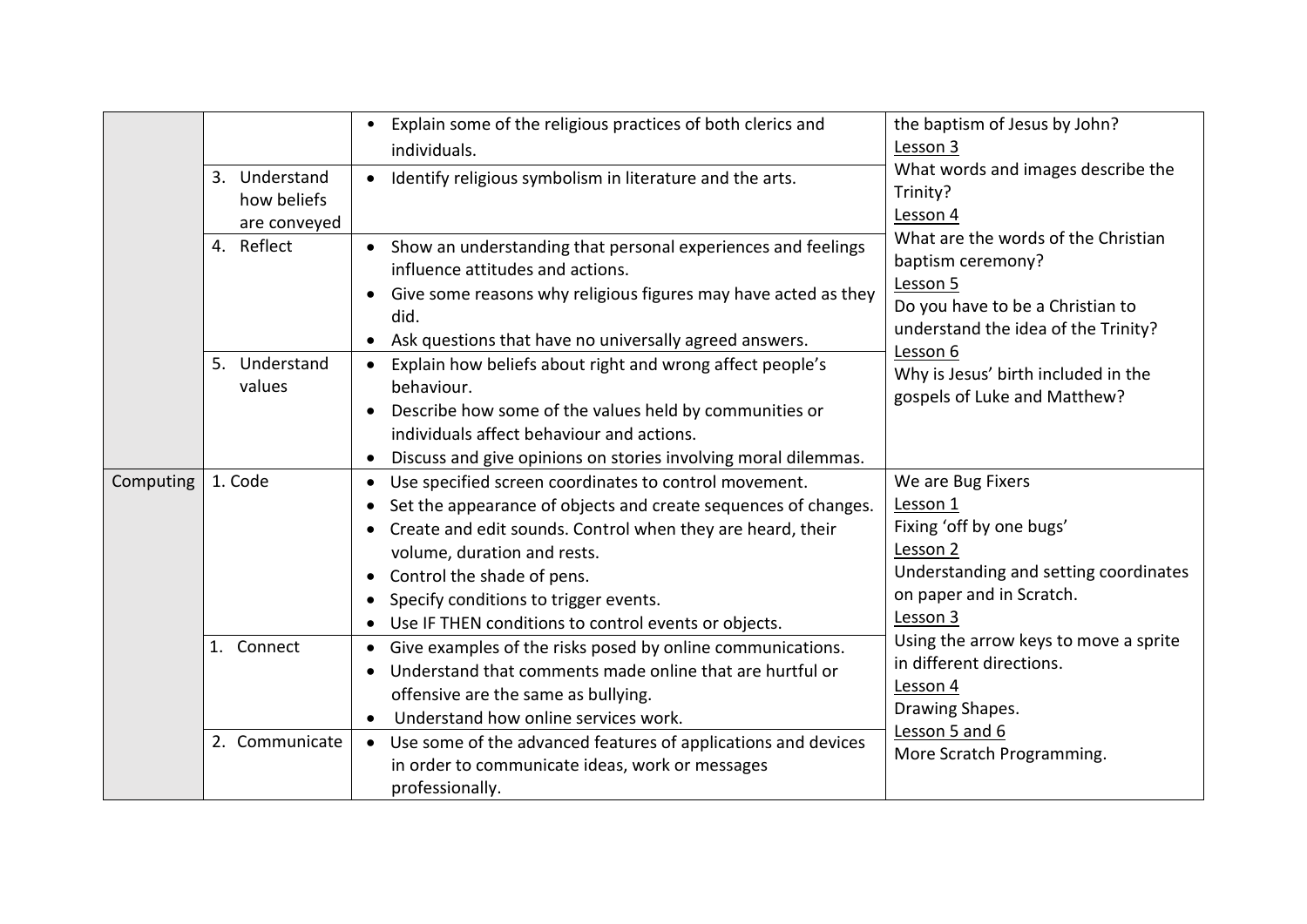|           | 3. Understand<br>how beliefs<br>are conveyed<br>4. Reflect<br>5. Understand<br>values | Explain some of the religious practices of both clerics and<br>$\bullet$<br>individuals.<br>Identify religious symbolism in literature and the arts.<br>$\bullet$<br>Show an understanding that personal experiences and feelings<br>$\bullet$<br>influence attitudes and actions.<br>Give some reasons why religious figures may have acted as they<br>$\bullet$<br>did.<br>Ask questions that have no universally agreed answers.<br>$\bullet$<br>Explain how beliefs about right and wrong affect people's<br>behaviour.<br>Describe how some of the values held by communities or<br>$\bullet$<br>individuals affect behaviour and actions. | the baptism of Jesus by John?<br>Lesson 3<br>What words and images describe the<br>Trinity?<br>Lesson 4<br>What are the words of the Christian<br>baptism ceremony?<br>Lesson 5<br>Do you have to be a Christian to<br>understand the idea of the Trinity?<br>Lesson 6<br>Why is Jesus' birth included in the<br>gospels of Luke and Matthew? |
|-----------|---------------------------------------------------------------------------------------|-------------------------------------------------------------------------------------------------------------------------------------------------------------------------------------------------------------------------------------------------------------------------------------------------------------------------------------------------------------------------------------------------------------------------------------------------------------------------------------------------------------------------------------------------------------------------------------------------------------------------------------------------|-----------------------------------------------------------------------------------------------------------------------------------------------------------------------------------------------------------------------------------------------------------------------------------------------------------------------------------------------|
|           |                                                                                       | Discuss and give opinions on stories involving moral dilemmas.                                                                                                                                                                                                                                                                                                                                                                                                                                                                                                                                                                                  |                                                                                                                                                                                                                                                                                                                                               |
| Computing | 1. Code                                                                               | Use specified screen coordinates to control movement.<br>$\bullet$<br>Set the appearance of objects and create sequences of changes.<br>Create and edit sounds. Control when they are heard, their<br>volume, duration and rests.<br>Control the shade of pens.<br>$\bullet$<br>Specify conditions to trigger events.<br>$\bullet$<br>Use IF THEN conditions to control events or objects.<br>$\bullet$                                                                                                                                                                                                                                         | We are Bug Fixers<br>Lesson 1<br>Fixing 'off by one bugs'<br>Lesson 2<br>Understanding and setting coordinates<br>on paper and in Scratch.<br>Lesson 3<br>Using the arrow keys to move a sprite<br>in different directions.<br>Lesson 4<br>Drawing Shapes.<br>Lesson 5 and 6<br>More Scratch Programming.                                     |
|           | 1. Connect<br>2. Communicate                                                          | • Give examples of the risks posed by online communications.<br>Understand that comments made online that are hurtful or<br>$\bullet$<br>offensive are the same as bullying.<br>Understand how online services work.<br>$\bullet$<br>Use some of the advanced features of applications and devices<br>$\bullet$<br>in order to communicate ideas, work or messages                                                                                                                                                                                                                                                                              |                                                                                                                                                                                                                                                                                                                                               |
|           |                                                                                       | professionally.                                                                                                                                                                                                                                                                                                                                                                                                                                                                                                                                                                                                                                 |                                                                                                                                                                                                                                                                                                                                               |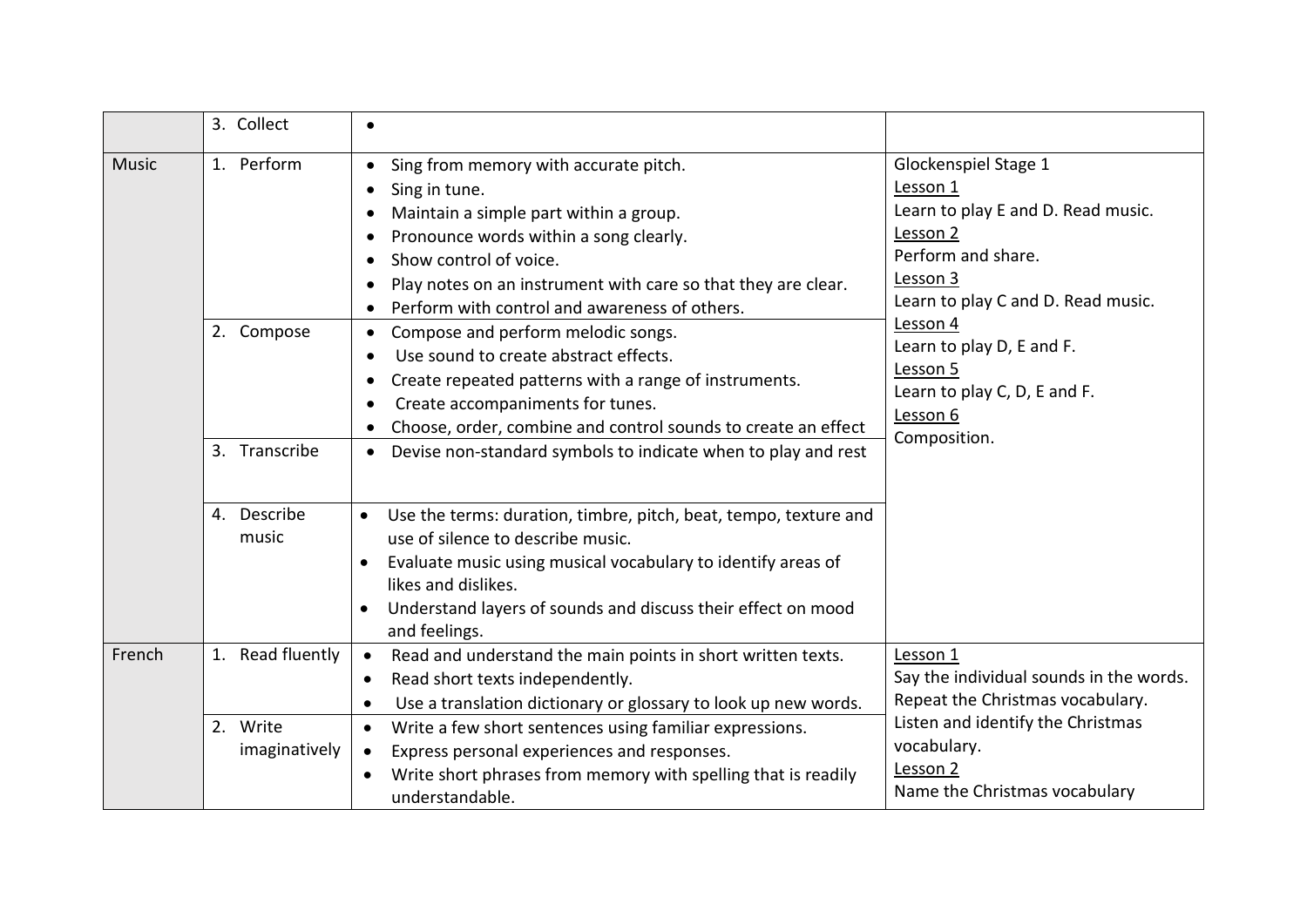|              | 3. Collect                                | $\bullet$                                                                                                                                                                                                                                                                                                                                                                                                                                                                                                                                                                                                                                                                                            |                                                                                                                                                                                                                                                                             |
|--------------|-------------------------------------------|------------------------------------------------------------------------------------------------------------------------------------------------------------------------------------------------------------------------------------------------------------------------------------------------------------------------------------------------------------------------------------------------------------------------------------------------------------------------------------------------------------------------------------------------------------------------------------------------------------------------------------------------------------------------------------------------------|-----------------------------------------------------------------------------------------------------------------------------------------------------------------------------------------------------------------------------------------------------------------------------|
| <b>Music</b> | 1. Perform<br>2. Compose<br>3. Transcribe | Sing from memory with accurate pitch.<br>$\bullet$<br>Sing in tune.<br>$\bullet$<br>Maintain a simple part within a group.<br>Pronounce words within a song clearly.<br>٠<br>Show control of voice.<br>Play notes on an instrument with care so that they are clear.<br>$\bullet$<br>Perform with control and awareness of others.<br>Compose and perform melodic songs.<br>Use sound to create abstract effects.<br>$\bullet$<br>Create repeated patterns with a range of instruments.<br>$\bullet$<br>Create accompaniments for tunes.<br>$\bullet$<br>Choose, order, combine and control sounds to create an effect<br>Devise non-standard symbols to indicate when to play and rest<br>$\bullet$ | Glockenspiel Stage 1<br>Lesson 1<br>Learn to play E and D. Read music.<br>Lesson 2<br>Perform and share.<br>Lesson 3<br>Learn to play C and D. Read music.<br>Lesson 4<br>Learn to play D, E and F.<br>Lesson 5<br>Learn to play C, D, E and F.<br>Lesson 6<br>Composition. |
|              | 4. Describe<br>music                      | Use the terms: duration, timbre, pitch, beat, tempo, texture and<br>$\bullet$<br>use of silence to describe music.<br>Evaluate music using musical vocabulary to identify areas of<br>$\bullet$<br>likes and dislikes.<br>Understand layers of sounds and discuss their effect on mood<br>$\bullet$<br>and feelings.                                                                                                                                                                                                                                                                                                                                                                                 |                                                                                                                                                                                                                                                                             |
| French       | Read fluently<br>1.                       | Read and understand the main points in short written texts.<br>$\bullet$<br>Read short texts independently.<br>$\bullet$<br>Use a translation dictionary or glossary to look up new words.<br>$\bullet$                                                                                                                                                                                                                                                                                                                                                                                                                                                                                              | Lesson 1<br>Say the individual sounds in the words.<br>Repeat the Christmas vocabulary.                                                                                                                                                                                     |
|              | 2. Write<br>imaginatively                 | Write a few short sentences using familiar expressions.<br>$\bullet$<br>Express personal experiences and responses.<br>$\bullet$<br>Write short phrases from memory with spelling that is readily<br>understandable.                                                                                                                                                                                                                                                                                                                                                                                                                                                                                 | Listen and identify the Christmas<br>vocabulary.<br>Lesson 2<br>Name the Christmas vocabulary                                                                                                                                                                               |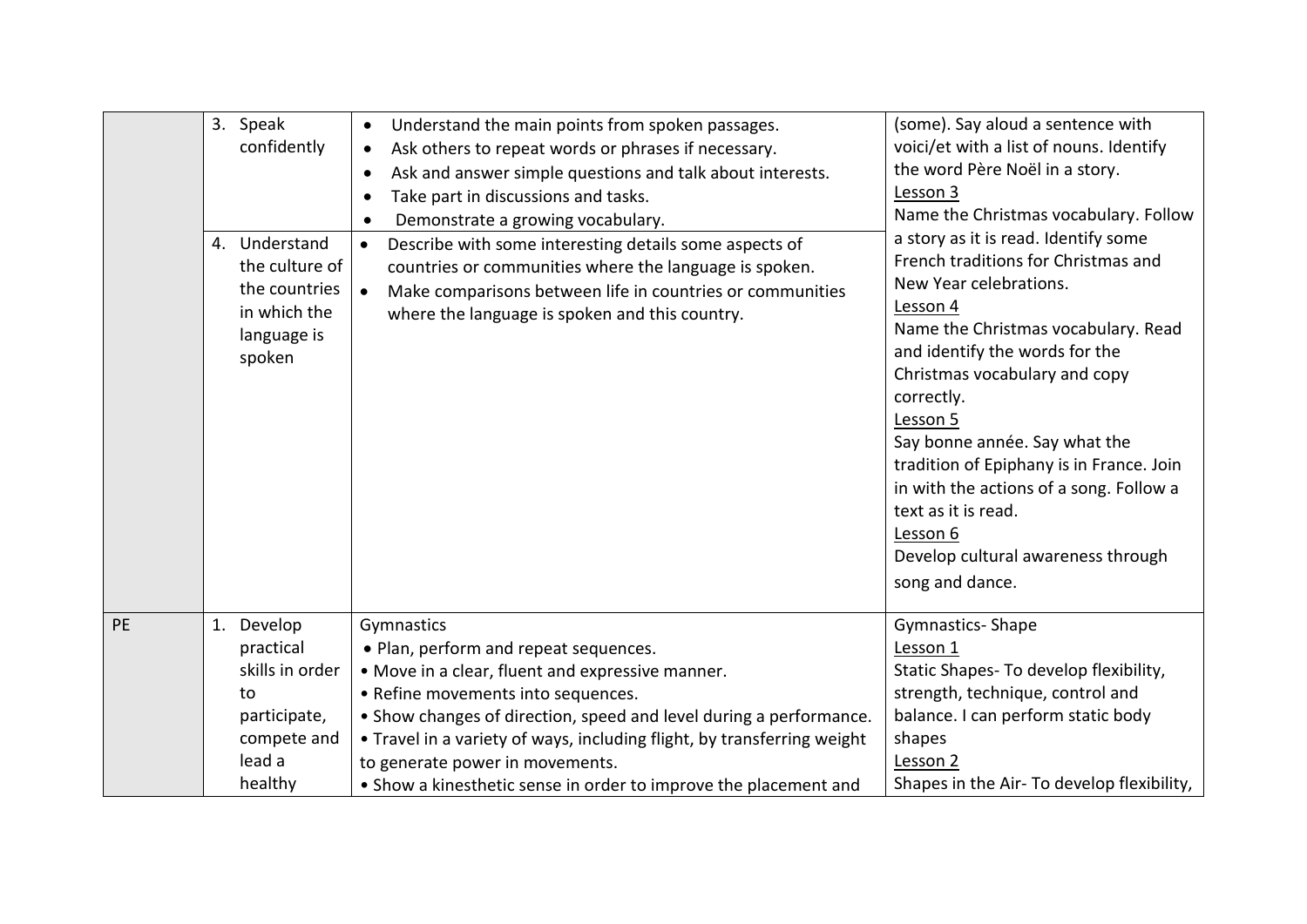|    | 3. Speak<br>confidently<br>4. Understand<br>the culture of<br>the countries<br>in which the<br>language is<br>spoken | Understand the main points from spoken passages.<br>Ask others to repeat words or phrases if necessary.<br>$\bullet$<br>Ask and answer simple questions and talk about interests.<br>Take part in discussions and tasks.<br>$\bullet$<br>Demonstrate a growing vocabulary.<br>Describe with some interesting details some aspects of<br>$\bullet$<br>countries or communities where the language is spoken.<br>Make comparisons between life in countries or communities<br>where the language is spoken and this country. | (some). Say aloud a sentence with<br>voici/et with a list of nouns. Identify<br>the word Père Noël in a story.<br>Lesson 3<br>Name the Christmas vocabulary. Follow<br>a story as it is read. Identify some<br>French traditions for Christmas and<br>New Year celebrations.<br>Lesson 4<br>Name the Christmas vocabulary. Read<br>and identify the words for the<br>Christmas vocabulary and copy<br>correctly.<br>Lesson 5<br>Say bonne année. Say what the<br>tradition of Epiphany is in France. Join<br>in with the actions of a song. Follow a<br>text as it is read.<br>Lesson 6<br>Develop cultural awareness through<br>song and dance. |
|----|----------------------------------------------------------------------------------------------------------------------|----------------------------------------------------------------------------------------------------------------------------------------------------------------------------------------------------------------------------------------------------------------------------------------------------------------------------------------------------------------------------------------------------------------------------------------------------------------------------------------------------------------------------|--------------------------------------------------------------------------------------------------------------------------------------------------------------------------------------------------------------------------------------------------------------------------------------------------------------------------------------------------------------------------------------------------------------------------------------------------------------------------------------------------------------------------------------------------------------------------------------------------------------------------------------------------|
| PE | 1. Develop                                                                                                           | Gymnastics                                                                                                                                                                                                                                                                                                                                                                                                                                                                                                                 | Gymnastics-Shape                                                                                                                                                                                                                                                                                                                                                                                                                                                                                                                                                                                                                                 |
|    | practical                                                                                                            | • Plan, perform and repeat sequences.                                                                                                                                                                                                                                                                                                                                                                                                                                                                                      | Lesson 1                                                                                                                                                                                                                                                                                                                                                                                                                                                                                                                                                                                                                                         |
|    | skills in order                                                                                                      | . Move in a clear, fluent and expressive manner.                                                                                                                                                                                                                                                                                                                                                                                                                                                                           | Static Shapes- To develop flexibility,                                                                                                                                                                                                                                                                                                                                                                                                                                                                                                                                                                                                           |
|    | to                                                                                                                   | • Refine movements into sequences.                                                                                                                                                                                                                                                                                                                                                                                                                                                                                         | strength, technique, control and                                                                                                                                                                                                                                                                                                                                                                                                                                                                                                                                                                                                                 |
|    | participate,                                                                                                         | • Show changes of direction, speed and level during a performance.                                                                                                                                                                                                                                                                                                                                                                                                                                                         | balance. I can perform static body                                                                                                                                                                                                                                                                                                                                                                                                                                                                                                                                                                                                               |
|    | compete and                                                                                                          | • Travel in a variety of ways, including flight, by transferring weight                                                                                                                                                                                                                                                                                                                                                                                                                                                    | shapes                                                                                                                                                                                                                                                                                                                                                                                                                                                                                                                                                                                                                                           |
|    | lead a                                                                                                               | to generate power in movements.                                                                                                                                                                                                                                                                                                                                                                                                                                                                                            | Lesson 2                                                                                                                                                                                                                                                                                                                                                                                                                                                                                                                                                                                                                                         |
|    | healthy                                                                                                              | • Show a kinesthetic sense in order to improve the placement and                                                                                                                                                                                                                                                                                                                                                                                                                                                           | Shapes in the Air- To develop flexibility,                                                                                                                                                                                                                                                                                                                                                                                                                                                                                                                                                                                                       |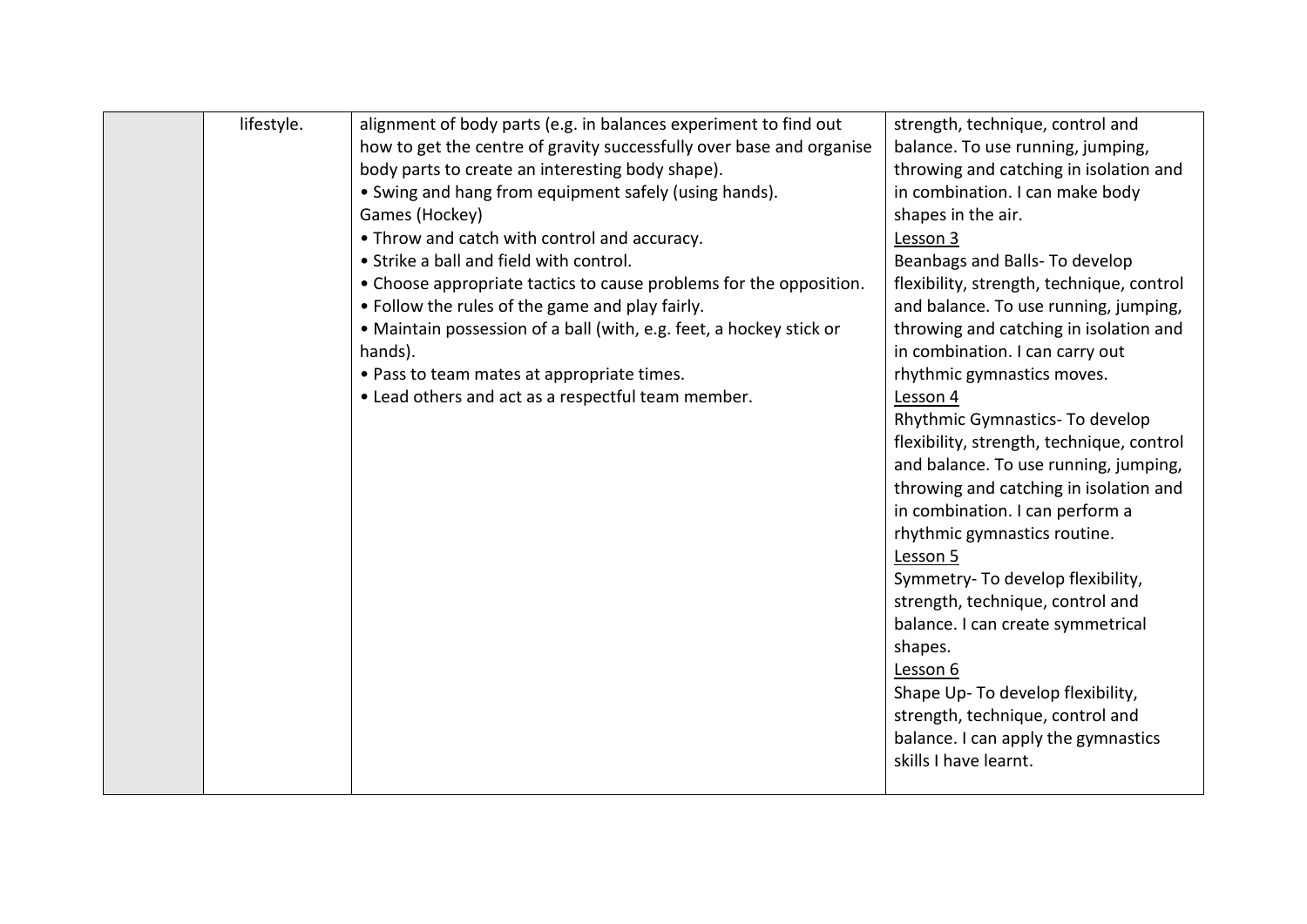| lifestyle. | alignment of body parts (e.g. in balances experiment to find out     | strength, technique, control and          |
|------------|----------------------------------------------------------------------|-------------------------------------------|
|            | how to get the centre of gravity successfully over base and organise | balance. To use running, jumping,         |
|            | body parts to create an interesting body shape).                     | throwing and catching in isolation and    |
|            | • Swing and hang from equipment safely (using hands).                | in combination. I can make body           |
|            | Games (Hockey)                                                       | shapes in the air.                        |
|            | • Throw and catch with control and accuracy.                         | Lesson 3                                  |
|            | • Strike a ball and field with control.                              | Beanbags and Balls- To develop            |
|            | • Choose appropriate tactics to cause problems for the opposition.   | flexibility, strength, technique, control |
|            | • Follow the rules of the game and play fairly.                      | and balance. To use running, jumping,     |
|            | • Maintain possession of a ball (with, e.g. feet, a hockey stick or  | throwing and catching in isolation and    |
|            | hands).                                                              | in combination. I can carry out           |
|            | • Pass to team mates at appropriate times.                           | rhythmic gymnastics moves.                |
|            | • Lead others and act as a respectful team member.                   | Lesson 4                                  |
|            |                                                                      | Rhythmic Gymnastics- To develop           |
|            |                                                                      | flexibility, strength, technique, control |
|            |                                                                      | and balance. To use running, jumping,     |
|            |                                                                      | throwing and catching in isolation and    |
|            |                                                                      | in combination. I can perform a           |
|            |                                                                      | rhythmic gymnastics routine.              |
|            |                                                                      | Lesson 5                                  |
|            |                                                                      | Symmetry- To develop flexibility,         |
|            |                                                                      | strength, technique, control and          |
|            |                                                                      | balance. I can create symmetrical         |
|            |                                                                      | shapes.                                   |
|            |                                                                      | Lesson 6                                  |
|            |                                                                      | Shape Up- To develop flexibility,         |
|            |                                                                      | strength, technique, control and          |
|            |                                                                      | balance. I can apply the gymnastics       |
|            |                                                                      | skills I have learnt.                     |
|            |                                                                      |                                           |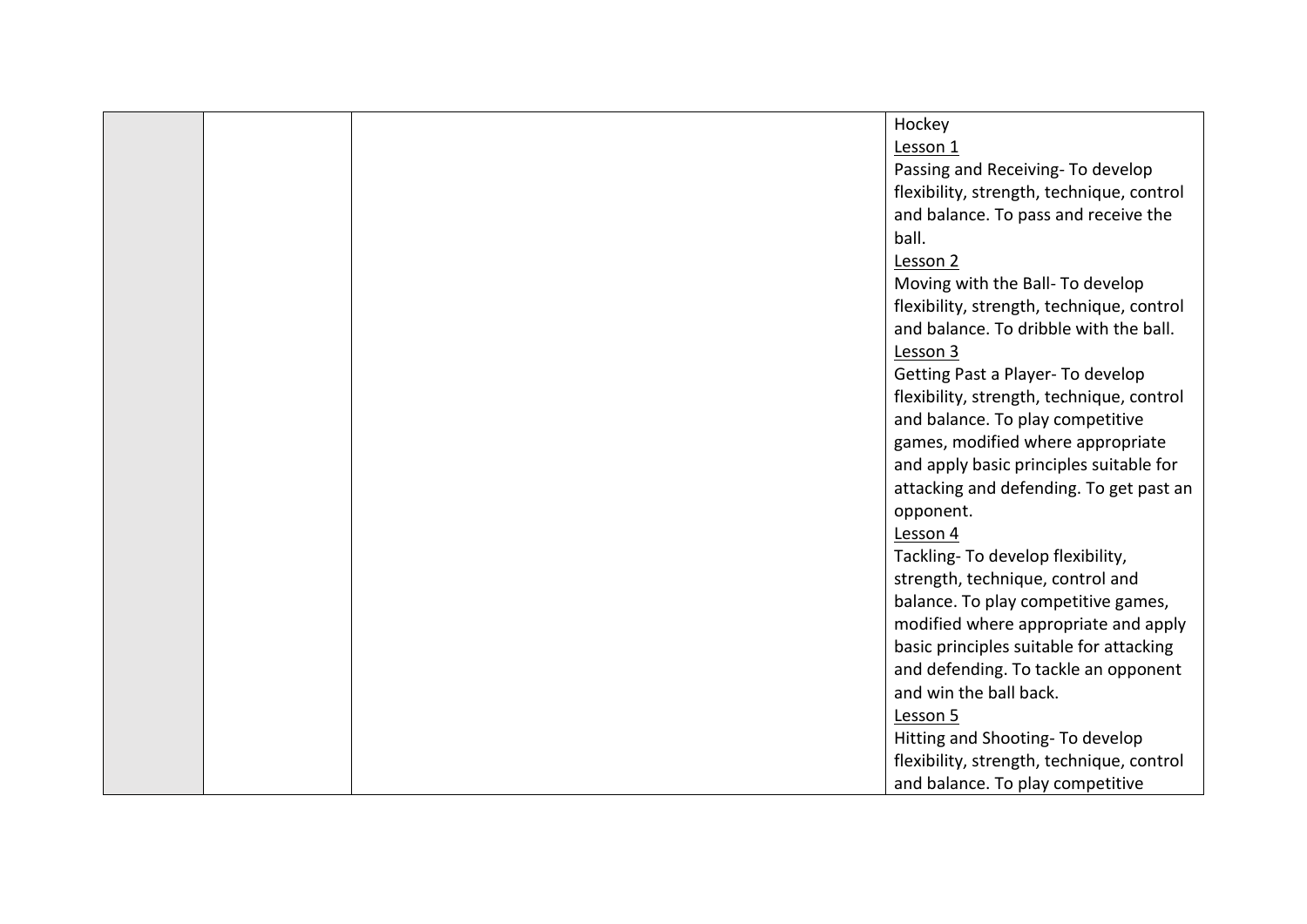|  | Hockey                                    |
|--|-------------------------------------------|
|  | Lesson 1                                  |
|  | Passing and Receiving- To develop         |
|  | flexibility, strength, technique, control |
|  | and balance. To pass and receive the      |
|  | ball.                                     |
|  | Lesson 2                                  |
|  | Moving with the Ball- To develop          |
|  | flexibility, strength, technique, control |
|  | and balance. To dribble with the ball.    |
|  | Lesson 3                                  |
|  | Getting Past a Player- To develop         |
|  | flexibility, strength, technique, control |
|  | and balance. To play competitive          |
|  | games, modified where appropriate         |
|  | and apply basic principles suitable for   |
|  | attacking and defending. To get past an   |
|  | opponent.                                 |
|  | Lesson 4                                  |
|  | Tackling- To develop flexibility,         |
|  | strength, technique, control and          |
|  | balance. To play competitive games,       |
|  | modified where appropriate and apply      |
|  | basic principles suitable for attacking   |
|  | and defending. To tackle an opponent      |
|  | and win the ball back.                    |
|  | Lesson 5                                  |
|  | Hitting and Shooting- To develop          |
|  | flexibility, strength, technique, control |
|  | and balance. To play competitive          |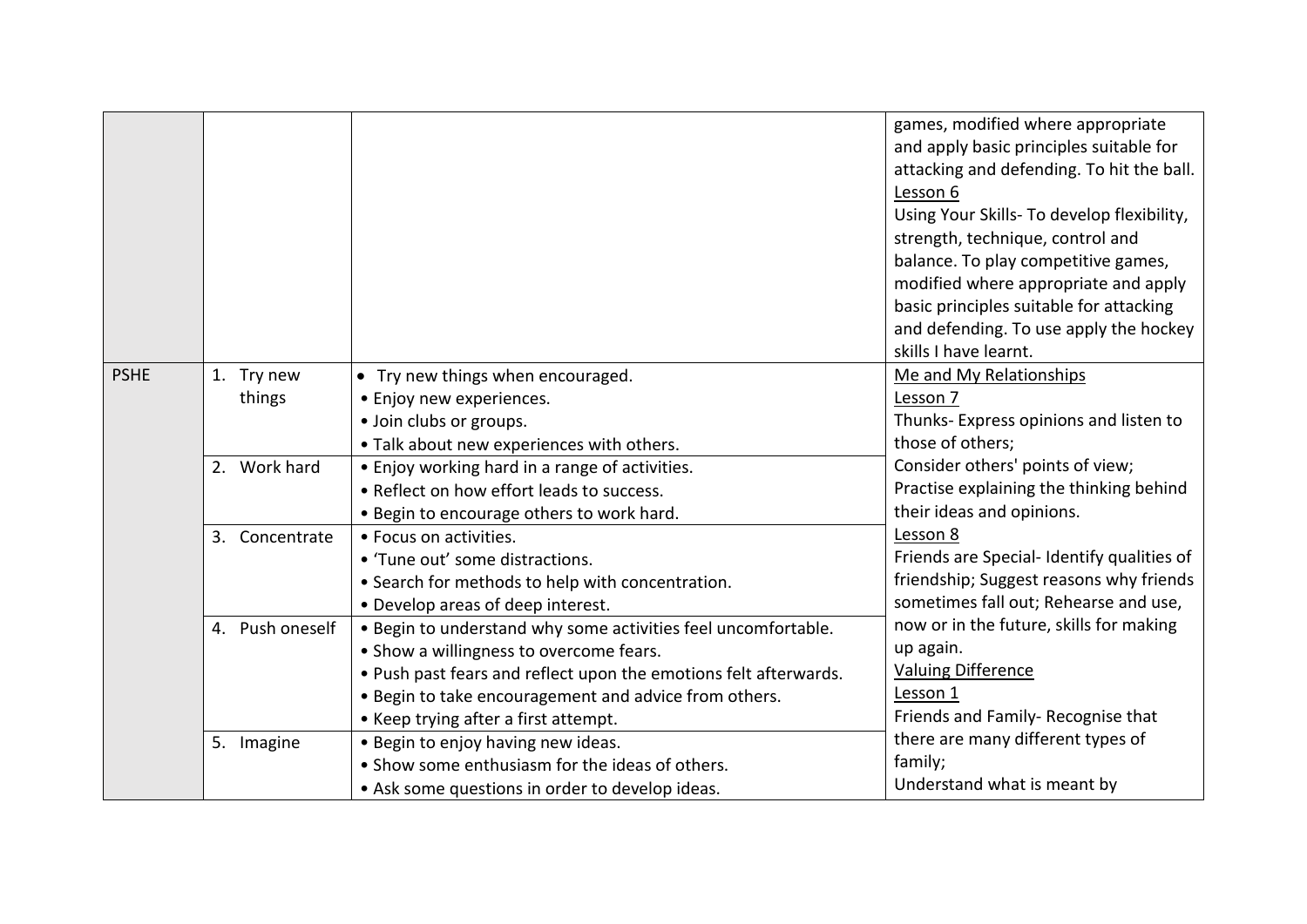|             |                      |                                                                                                                                                                                                                                                                               | games, modified where appropriate<br>and apply basic principles suitable for<br>attacking and defending. To hit the ball.<br>Lesson 6<br>Using Your Skills- To develop flexibility,<br>strength, technique, control and<br>balance. To play competitive games,<br>modified where appropriate and apply<br>basic principles suitable for attacking<br>and defending. To use apply the hockey<br>skills I have learnt. |
|-------------|----------------------|-------------------------------------------------------------------------------------------------------------------------------------------------------------------------------------------------------------------------------------------------------------------------------|----------------------------------------------------------------------------------------------------------------------------------------------------------------------------------------------------------------------------------------------------------------------------------------------------------------------------------------------------------------------------------------------------------------------|
| <b>PSHE</b> | 1. Try new<br>things | • Try new things when encouraged.<br>• Enjoy new experiences.<br>· Join clubs or groups.<br>. Talk about new experiences with others.                                                                                                                                         | Me and My Relationships<br>Lesson 7<br>Thunks- Express opinions and listen to<br>those of others;                                                                                                                                                                                                                                                                                                                    |
|             | 2. Work hard         | • Enjoy working hard in a range of activities.<br>• Reflect on how effort leads to success.<br>. Begin to encourage others to work hard.                                                                                                                                      | Consider others' points of view;<br>Practise explaining the thinking behind<br>their ideas and opinions.                                                                                                                                                                                                                                                                                                             |
|             | 3. Concentrate       | • Focus on activities.<br>• 'Tune out' some distractions.<br>• Search for methods to help with concentration.<br>• Develop areas of deep interest.                                                                                                                            | Lesson 8<br>Friends are Special-Identify qualities of<br>friendship; Suggest reasons why friends<br>sometimes fall out; Rehearse and use,                                                                                                                                                                                                                                                                            |
|             | 4. Push oneself      | . Begin to understand why some activities feel uncomfortable.<br>• Show a willingness to overcome fears.<br>. Push past fears and reflect upon the emotions felt afterwards.<br>· Begin to take encouragement and advice from others.<br>• Keep trying after a first attempt. | now or in the future, skills for making<br>up again.<br><b>Valuing Difference</b><br>Lesson 1<br>Friends and Family- Recognise that                                                                                                                                                                                                                                                                                  |
|             | 5. Imagine           | . Begin to enjoy having new ideas.<br>• Show some enthusiasm for the ideas of others.<br>• Ask some questions in order to develop ideas.                                                                                                                                      | there are many different types of<br>family;<br>Understand what is meant by                                                                                                                                                                                                                                                                                                                                          |